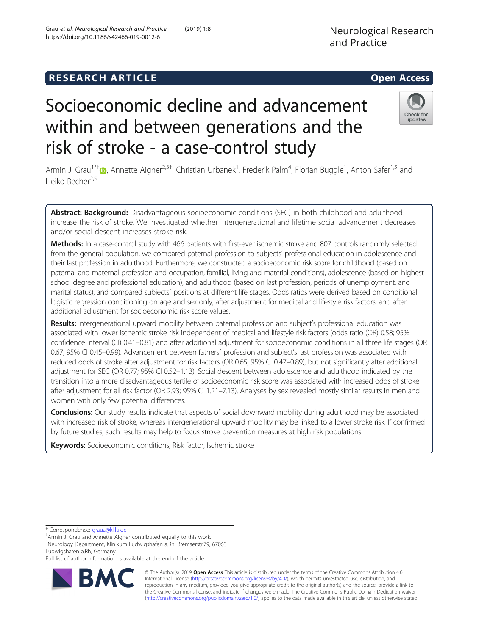# **RESEARCH ARTICLE Example 20 and 20 and 20 and 20 and 20 and 20 and 20 and 20 and 20 and 20 and 20 and 20 and 20 and 20 and 20 and 20 and 20 and 20 and 20 and 20 and 20 and 20 and 20 and 20 and 20 and 20 and 20 and 20 an**

# Socioeconomic decline and advancement within and between generations and the risk of stroke - a case-control study

Armin J. Grau<sup>1\*†</sup>®[,](http://orcid.org/0000-0001-9339-6056) Annette Aigner<sup>2,3†</sup>, Christian Urbanek<sup>1</sup>, Frederik Palm<sup>4</sup>, Florian Buggle<sup>1</sup>, Anton Safer<sup>1,5</sup> and Heiko Becher<sup>2,5</sup>

Abstract: Background: Disadvantageous socioeconomic conditions (SEC) in both childhood and adulthood increase the risk of stroke. We investigated whether intergenerational and lifetime social advancement decreases and/or social descent increases stroke risk.

Methods: In a case-control study with 466 patients with first-ever ischemic stroke and 807 controls randomly selected from the general population, we compared paternal profession to subjects' professional education in adolescence and their last profession in adulthood. Furthermore, we constructed a socioeconomic risk score for childhood (based on paternal and maternal profession and occupation, familial, living and material conditions), adolescence (based on highest school degree and professional education), and adulthood (based on last profession, periods of unemployment, and marital status), and compared subjects´ positions at different life stages. Odds ratios were derived based on conditional logistic regression conditioning on age and sex only, after adjustment for medical and lifestyle risk factors, and after additional adjustment for socioeconomic risk score values.

Results: Intergenerational upward mobility between paternal profession and subject's professional education was associated with lower ischemic stroke risk independent of medical and lifestyle risk factors (odds ratio (OR) 0.58; 95% confidence interval (CI) 0.41–0.81) and after additional adjustment for socioeconomic conditions in all three life stages (OR 0.67; 95% CI 0.45–0.99). Advancement between fathers´ profession and subject's last profession was associated with reduced odds of stroke after adjustment for risk factors (OR 0.65; 95% CI 0.47–0.89), but not significantly after additional adjustment for SEC (OR 0.77; 95% CI 0.52–1.13). Social descent between adolescence and adulthood indicated by the transition into a more disadvantageous tertile of socioeconomic risk score was associated with increased odds of stroke after adjustment for all risk factor (OR 2.93; 95% CI 1.21–7.13). Analyses by sex revealed mostly similar results in men and women with only few potential differences.

Conclusions: Our study results indicate that aspects of social downward mobility during adulthood may be associated with increased risk of stroke, whereas intergenerational upward mobility may be linked to a lower stroke risk. If confirmed by future studies, such results may help to focus stroke prevention measures at high risk populations.

Keywords: Socioeconomic conditions, Risk factor, Ischemic stroke

1 Neurology Department, Klinikum Ludwigshafen a.Rh, Bremserstr.79, 67063 Ludwigshafen a.Rh, Germany

© The Author(s). 2019 **Open Access** This article is distributed under the terms of the Creative Commons Attribution 4.0 International License [\(http://creativecommons.org/licenses/by/4.0/](http://creativecommons.org/licenses/by/4.0/)), which permits unrestricted use, distribution, and reproduction in any medium, provided you give appropriate credit to the original author(s) and the source, provide a link to the Creative Commons license, and indicate if changes were made. The Creative Commons Public Domain Dedication waiver [\(http://creativecommons.org/publicdomain/zero/1.0/](http://creativecommons.org/publicdomain/zero/1.0/)) applies to the data made available in this article, unless otherwise stated.





Armin J. Grau and Annette Aigner contributed equally to this work.

Full list of author information is available at the end of the article

<sup>\*</sup> Correspondence: [graua@klilu.de](mailto:graua@klilu.de) †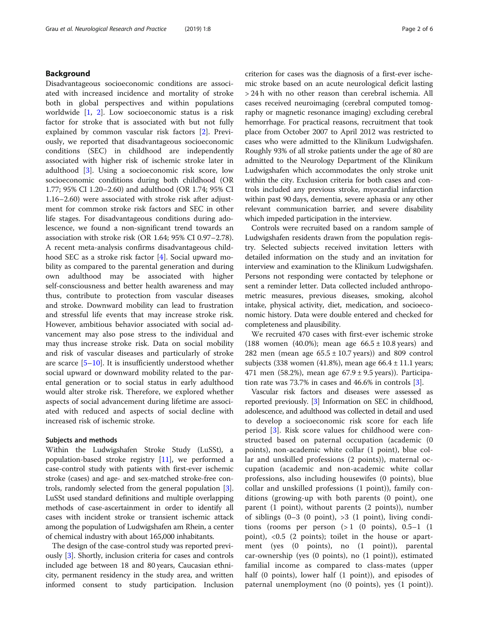# Background

Disadvantageous socioeconomic conditions are associated with increased incidence and mortality of stroke both in global perspectives and within populations worldwide [[1,](#page-5-0) [2](#page-5-0)]. Low socioeconomic status is a risk factor for stroke that is associated with but not fully explained by common vascular risk factors [[2\]](#page-5-0). Previously, we reported that disadvantageous socioeconomic conditions (SEC) in childhood are independently associated with higher risk of ischemic stroke later in adulthood [[3\]](#page-5-0). Using a socioeconomic risk score, low socioeconomic conditions during both childhood (OR 1.77; 95% CI 1.20–2.60) and adulthood (OR 1.74; 95% CI 1.16–2.60) were associated with stroke risk after adjustment for common stroke risk factors and SEC in other life stages. For disadvantageous conditions during adolescence, we found a non-significant trend towards an association with stroke risk (OR 1.64; 95% CI 0.97–2.78). A recent meta-analysis confirms disadvantageous childhood SEC as a stroke risk factor [\[4](#page-5-0)]. Social upward mobility as compared to the parental generation and during own adulthood may be associated with higher self-consciousness and better health awareness and may thus, contribute to protection from vascular diseases and stroke. Downward mobility can lead to frustration and stressful life events that may increase stroke risk. However, ambitious behavior associated with social advancement may also pose stress to the individual and may thus increase stroke risk. Data on social mobility and risk of vascular diseases and particularly of stroke are scarce  $[5-10]$  $[5-10]$  $[5-10]$  $[5-10]$  $[5-10]$ . It is insufficiently understood whether social upward or downward mobility related to the parental generation or to social status in early adulthood would alter stroke risk. Therefore, we explored whether aspects of social advancement during lifetime are associated with reduced and aspects of social decline with increased risk of ischemic stroke.

### Subjects and methods

Within the Ludwigshafen Stroke Study (LuSSt), a population-based stroke registry [[11](#page-5-0)], we performed a case-control study with patients with first-ever ischemic stroke (cases) and age- and sex-matched stroke-free controls, randomly selected from the general population [[3](#page-5-0)]. LuSSt used standard definitions and multiple overlapping methods of case-ascertainment in order to identify all cases with incident stroke or transient ischemic attack among the population of Ludwigshafen am Rhein, a center of chemical industry with about 165,000 inhabitants.

The design of the case-control study was reported previously [[3\]](#page-5-0). Shortly, inclusion criteria for cases and controls included age between 18 and 80 years, Caucasian ethnicity, permanent residency in the study area, and written informed consent to study participation. Inclusion criterion for cases was the diagnosis of a first-ever ischemic stroke based on an acute neurological deficit lasting > 24 h with no other reason than cerebral ischemia. All cases received neuroimaging (cerebral computed tomography or magnetic resonance imaging) excluding cerebral hemorrhage. For practical reasons, recruitment that took place from October 2007 to April 2012 was restricted to cases who were admitted to the Klinikum Ludwigshafen. Roughly 93% of all stroke patients under the age of 80 are admitted to the Neurology Department of the Klinikum Ludwigshafen which accommodates the only stroke unit within the city. Exclusion criteria for both cases and controls included any previous stroke, myocardial infarction within past 90 days, dementia, severe aphasia or any other relevant communication barrier, and severe disability which impeded participation in the interview.

Controls were recruited based on a random sample of Ludwigshafen residents drawn from the population registry. Selected subjects received invitation letters with detailed information on the study and an invitation for interview and examination to the Klinikum Ludwigshafen. Persons not responding were contacted by telephone or sent a reminder letter. Data collected included anthropometric measures, previous diseases, smoking, alcohol intake, physical activity, diet, medication, and socioeconomic history. Data were double entered and checked for completeness and plausibility.

We recruited 470 cases with first-ever ischemic stroke (188 women (40.0%); mean age  $66.5 \pm 10.8$  years) and 282 men (mean age  $65.5 \pm 10.7$  years)) and 809 control subjects (338 women (41.8%), mean age  $66.4 \pm 11.1$  years; 471 men (58.2%), mean age  $67.9 \pm 9.5$  years)). Participation rate was 73.7% in cases and 46.6% in controls [[3\]](#page-5-0).

Vascular risk factors and diseases were assessed as reported previously. [\[3\]](#page-5-0) Information on SEC in childhood, adolescence, and adulthood was collected in detail and used to develop a socioeconomic risk score for each life period [\[3](#page-5-0)]. Risk score values for childhood were constructed based on paternal occupation (academic (0 points), non-academic white collar (1 point), blue collar and unskilled professions (2 points)), maternal occupation (academic and non-academic white collar professions, also including housewifes (0 points), blue collar and unskilled professions (1 point)), family conditions (growing-up with both parents (0 point), one parent (1 point), without parents (2 points)), number of siblings  $(0-3 \ (0 \ point), >3 \ (1 \ point)$ , living conditions (rooms per person  $(> 1 \ (0 \text{ points}), \ 0.5-1 \ (1$ point), <0.5 (2 points); toilet in the house or apartment (yes (0 points), no (1 point)), parental car-ownership (yes (0 points), no (1 point)), estimated familial income as compared to class-mates (upper half (0 points), lower half (1 point)), and episodes of paternal unemployment (no (0 points), yes (1 point)).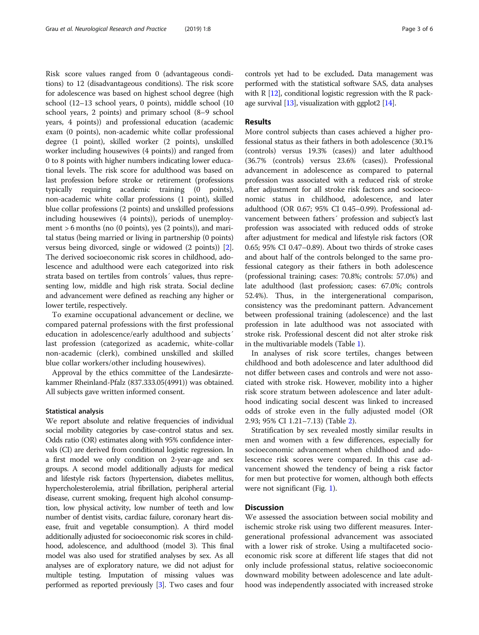Risk score values ranged from 0 (advantageous conditions) to 12 (disadvantageous conditions). The risk score for adolescence was based on highest school degree (high school (12–13 school years, 0 points), middle school (10 school years, 2 points) and primary school (8–9 school years, 4 points)) and professional education (academic exam (0 points), non-academic white collar professional degree (1 point), skilled worker (2 points), unskilled worker including housewives (4 points)) and ranged from 0 to 8 points with higher numbers indicating lower educational levels. The risk score for adulthood was based on last profession before stroke or retirement (professions typically requiring academic training (0 points), non-academic white collar professions (1 point), skilled blue collar professions (2 points) and unskilled professions including housewives (4 points)), periods of unemployment > 6 months (no (0 points), yes (2 points)), and marital status (being married or living in partnership (0 points) versus being divorced, single or widowed (2 points)) [[2](#page-5-0)]. The derived socioeconomic risk scores in childhood, adolescence and adulthood were each categorized into risk strata based on tertiles from controls´ values, thus representing low, middle and high risk strata. Social decline and advancement were defined as reaching any higher or lower tertile, respectively.

To examine occupational advancement or decline, we compared paternal professions with the first professional education in adolescence/early adulthood and subjects´ last profession (categorized as academic, white-collar non-academic (clerk), combined unskilled and skilled blue collar workers/other including housewives).

Approval by the ethics committee of the Landesärztekammer Rheinland-Pfalz (837.333.05(4991)) was obtained. All subjects gave written informed consent.

# Statistical analysis

We report absolute and relative frequencies of individual social mobility categories by case-control status and sex. Odds ratio (OR) estimates along with 95% confidence intervals (CI) are derived from conditional logistic regression. In a first model we only condition on 2-year-age and sex groups. A second model additionally adjusts for medical and lifestyle risk factors (hypertension, diabetes mellitus, hypercholesterolemia, atrial fibrillation, peripheral arterial disease, current smoking, frequent high alcohol consumption, low physical activity, low number of teeth and low number of dentist visits, cardiac failure, coronary heart disease, fruit and vegetable consumption). A third model additionally adjusted for socioeconomic risk scores in childhood, adolescence, and adulthood (model 3). This final model was also used for stratified analyses by sex. As all analyses are of exploratory nature, we did not adjust for multiple testing. Imputation of missing values was performed as reported previously [\[3\]](#page-5-0). Two cases and four controls yet had to be excluded. Data management was performed with the statistical software SAS, data analyses with  $R$  [\[12\]](#page-5-0), conditional logistic regression with the R package survival  $[13]$  $[13]$ , visualization with ggplot2  $[14]$ .

# Results

More control subjects than cases achieved a higher professional status as their fathers in both adolescence (30.1% (controls) versus 19.3% (cases)) and later adulthood (36.7% (controls) versus 23.6% (cases)). Professional advancement in adolescence as compared to paternal profession was associated with a reduced risk of stroke after adjustment for all stroke risk factors and socioeconomic status in childhood, adolescence, and later adulthood (OR 0.67; 95% CI 0.45–0.99). Professional advancement between fathers´ profession and subject's last profession was associated with reduced odds of stroke after adjustment for medical and lifestyle risk factors (OR 0.65; 95% CI 0.47–0.89). About two thirds of stroke cases and about half of the controls belonged to the same professional category as their fathers in both adolescence (professional training; cases: 70.8%; controls: 57.0%) and late adulthood (last profession; cases: 67.0%; controls 52.4%). Thus, in the intergenerational comparison, consistency was the predominant pattern. Advancement between professional training (adolescence) and the last profession in late adulthood was not associated with stroke risk. Professional descent did not alter stroke risk in the multivariable models (Table [1\)](#page-3-0).

In analyses of risk score tertiles, changes between childhood and both adolescence and later adulthood did not differ between cases and controls and were not associated with stroke risk. However, mobility into a higher risk score stratum between adolescence and later adulthood indicating social descent was linked to increased odds of stroke even in the fully adjusted model (OR 2.93; 95% CI 1.21–7.13) (Table [2](#page-3-0)).

Stratification by sex revealed mostly similar results in men and women with a few differences, especially for socioeconomic advancement when childhood and adolescence risk scores were compared. In this case advancement showed the tendency of being a risk factor for men but protective for women, although both effects were not significant (Fig. [1](#page-4-0)).

# **Discussion**

We assessed the association between social mobility and ischemic stroke risk using two different measures. Intergenerational professional advancement was associated with a lower risk of stroke. Using a multifaceted socioeconomic risk score at different life stages that did not only include professional status, relative socioeconomic downward mobility between adolescence and late adulthood was independently associated with increased stroke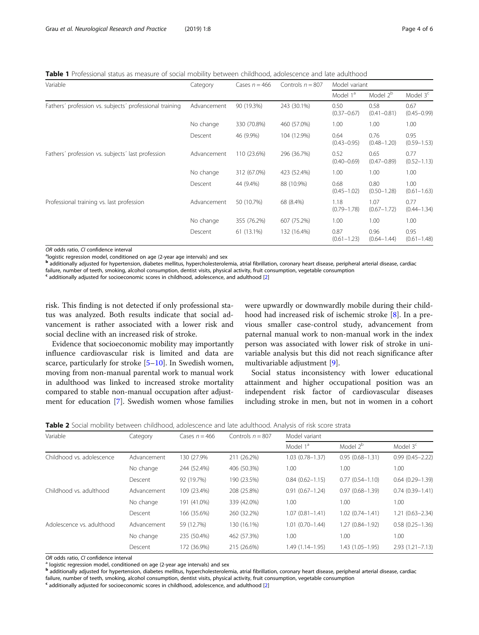<span id="page-3-0"></span>Table 1 Professional status as measure of social mobility between childhood, adolescence and late adulthood

| Variable                                                | Category    | Cases $n = 466$ | Controls $n = 807$ | Model variant           |                         |                         |
|---------------------------------------------------------|-------------|-----------------|--------------------|-------------------------|-------------------------|-------------------------|
|                                                         |             |                 |                    | Model 1 <sup>a</sup>    | Model 2 <sup>b</sup>    | Model 3 <sup>c</sup>    |
| Fathers' profession vs. subjects' professional training | Advancement | 90 (19.3%)      | 243 (30.1%)        | 0.50<br>$(0.37 - 0.67)$ | 0.58<br>$(0.41 - 0.81)$ | 0.67<br>$(0.45 - 0.99)$ |
|                                                         | No change   | 330 (70.8%)     | 460 (57.0%)        | 1.00                    | 1.00                    | 1.00                    |
|                                                         | Descent     | 46 (9.9%)       | 104 (12.9%)        | 0.64<br>$(0.43 - 0.95)$ | 0.76<br>$(0.48 - 1.20)$ | 0.95<br>$(0.59 - 1.53)$ |
| Fathers' profession vs. subjects' last profession       | Advancement | 110 (23.6%)     | 296 (36.7%)        | 0.52<br>$(0.40 - 0.69)$ | 0.65<br>$(0.47 - 0.89)$ | 0.77<br>$(0.52 - 1.13)$ |
|                                                         | No change   | 312 (67.0%)     | 423 (52.4%)        | 1.00                    | 1.00                    | 1.00                    |
|                                                         | Descent     | 44 (9.4%)       | 88 (10.9%)         | 0.68<br>$(0.45 - 1.02)$ | 0.80<br>$(0.50 - 1.28)$ | 1.00<br>$(0.61 - 1.63)$ |
| Professional training vs. last profession               | Advancement | 50 (10.7%)      | 68 (8.4%)          | 1.18<br>$(0.79 - 1.78)$ | 1.07<br>$(0.67 - 1.72)$ | 0.77<br>$(0.44 - 1.34)$ |
|                                                         | No change   | 355 (76.2%)     | 607 (75.2%)        | 1.00                    | 1.00                    | 1.00                    |
|                                                         | Descent     | 61 (13.1%)      | 132 (16.4%)        | 0.87<br>$(0.61 - 1.23)$ | 0.96<br>$(0.64 - 1.44)$ | 0.95<br>$(0.61 - 1.48)$ |

*OR* odds ratio, CI confidence interval<br><sup>a</sup>logistic regression model, conditioned on age (2-year age intervals) and sex

<sup>b</sup> additionally adjusted for hypertension, diabetes mellitus, hypercholesterolemia, atrial fibrillation, coronary heart disease, peripheral arterial disease, cardiac failure, number of teeth, smoking, alcohol consumption, dentist visits, physical activity, fruit consumption, vegetable consumption

<sup>c</sup> additionally adjusted for socioeconomic scores in childhood, adolescence, and adulthood [\[2\]](#page-5-0)

risk. This finding is not detected if only professional status was analyzed. Both results indicate that social advancement is rather associated with a lower risk and social decline with an increased risk of stroke.

Evidence that socioeconomic mobility may importantly influence cardiovascular risk is limited and data are scarce, particularly for stroke [[5](#page-5-0)–[10\]](#page-5-0). In Swedish women, moving from non-manual parental work to manual work in adulthood was linked to increased stroke mortality compared to stable non-manual occupation after adjustment for education [[7](#page-5-0)]. Swedish women whose families were upwardly or downwardly mobile during their childhood had increased risk of ischemic stroke [[8](#page-5-0)]. In a previous smaller case-control study, advancement from paternal manual work to non-manual work in the index person was associated with lower risk of stroke in univariable analysis but this did not reach significance after multivariable adjustment [[9\]](#page-5-0).

Social status inconsistency with lower educational attainment and higher occupational position was an independent risk factor of cardiovascular diseases including stroke in men, but not in women in a cohort

Table 2 Social mobility between childhood, adolescence and late adulthood. Analysis of risk score strata

| Variable                  | Category    | Cases $n = 466$ | Controls $n = 807$ | Model variant        |                      |                     |  |
|---------------------------|-------------|-----------------|--------------------|----------------------|----------------------|---------------------|--|
|                           |             |                 |                    | Model 1 <sup>a</sup> | Model 2 <sup>b</sup> | Model $3c$          |  |
| Childhood vs. adolescence | Advancement | 130 (27.9%      | 211 (26.2%)        | $1.03(0.78 - 1.37)$  | $0.95(0.68 - 1.31)$  | $0.99(0.45 - 2.22)$ |  |
|                           | No change   | 244 (52.4%)     | 406 (50.3%)        | 1.00                 | 1.00                 | 1.00                |  |
|                           | Descent     | 92 (19.7%)      | 190 (23.5%)        | $0.84(0.62 - 1.15)$  | $0.77(0.54 - 1.10)$  | $0.64(0.29 - 1.39)$ |  |
| Childhood vs. adulthood   | Advancement | 109 (23.4%)     | 208 (25.8%)        | $0.91(0.67 - 1.24)$  | $0.97(0.68 - 1.39)$  | $0.74(0.39 - 1.41)$ |  |
|                           | No change   | 191 (41.0%)     | 339 (42.0%)        | 1.00                 | 1.00                 | 1.00                |  |
|                           | Descent     | 166 (35.6%)     | 260 (32.2%)        | $1.07(0.81 - 1.41)$  | $1.02(0.74 - 1.41)$  | $1.21(0.63 - 2.34)$ |  |
| Adolescence vs. adulthood | Advancement | 59 (12.7%)      | 130 (16.1%)        | $1.01(0.70 - 1.44)$  | $1.27(0.84 - 1.92)$  | $0.58(0.25 - 1.36)$ |  |
|                           | No change   | 235 (50.4%)     | 462 (57.3%)        | 1.00                 | 1.00                 | 1.00                |  |
|                           | Descent     | 172 (36.9%)     | 215 (26.6%)        | 1.49 (1.14-1.95)     | $1.43(1.05 - 1.95)$  | $2.93(1.21 - 7.13)$ |  |

OR odds ratio, CI confidence interval<br><sup>a</sup> logistic regression model, conditioned on age (2-year age intervals) and sex

**b** additionally adjusted for hypertension, diabetes mellitus, hypercholesterolemia, atrial fibrillation, coronary heart disease, peripheral arterial disease, cardiac

failure, number of teeth, smoking, alcohol consumption, dentist visits, physical activity, fruit consumption, vegetable consumption

<sup>c</sup> additionally adjusted for socioeconomic scores in childhood, adolescence, and adulthood [\[2\]](#page-5-0)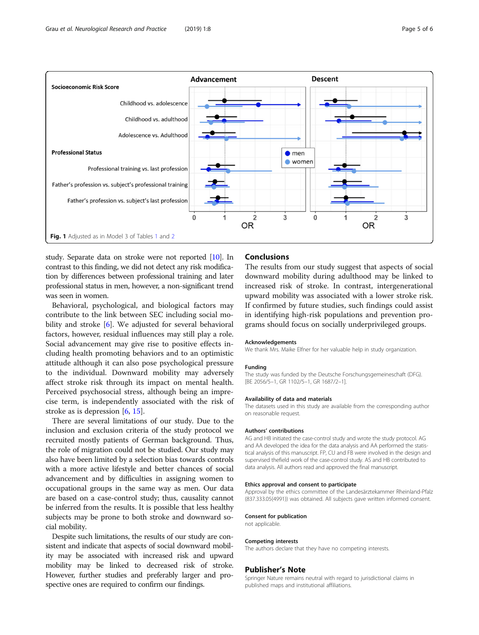<span id="page-4-0"></span>

study. Separate data on stroke were not reported [[10](#page-5-0)]. In contrast to this finding, we did not detect any risk modification by differences between professional training and later professional status in men, however, a non-significant trend was seen in women.

Behavioral, psychological, and biological factors may contribute to the link between SEC including social mobility and stroke [[6\]](#page-5-0). We adjusted for several behavioral factors, however, residual influences may still play a role. Social advancement may give rise to positive effects including health promoting behaviors and to an optimistic attitude although it can also pose psychological pressure to the individual. Downward mobility may adversely affect stroke risk through its impact on mental health. Perceived psychosocial stress, although being an imprecise term, is independently associated with the risk of stroke as is depression [[6,](#page-5-0) [15\]](#page-5-0).

There are several limitations of our study. Due to the inclusion and exclusion criteria of the study protocol we recruited mostly patients of German background. Thus, the role of migration could not be studied. Our study may also have been limited by a selection bias towards controls with a more active lifestyle and better chances of social advancement and by difficulties in assigning women to occupational groups in the same way as men. Our data are based on a case-control study; thus, causality cannot be inferred from the results. It is possible that less healthy subjects may be prone to both stroke and downward social mobility.

Despite such limitations, the results of our study are consistent and indicate that aspects of social downward mobility may be associated with increased risk and upward mobility may be linked to decreased risk of stroke. However, further studies and preferably larger and prospective ones are required to confirm our findings.

# Conclusions

The results from our study suggest that aspects of social downward mobility during adulthood may be linked to increased risk of stroke. In contrast, intergenerational upward mobility was associated with a lower stroke risk. If confirmed by future studies, such findings could assist in identifying high-risk populations and prevention programs should focus on socially underprivileged groups.

#### Acknowledgements

We thank Mrs. Maike Elfner for her valuable help in study organization.

#### Funding

The study was funded by the Deutsche Forschungsgemeineschaft (DFG). [BE 2056/5–1, GR 1102/5–1, GR 1687/2–1].

#### Availability of data and materials

The datasets used in this study are available from the corresponding author on reasonable request.

#### Authors' contributions

AG and HB initiated the case-control study and wrote the study protocol. AG and AA developed the idea for the data analysis and AA performed the statistical analysis of this manuscript. FP, CU and FB were involved in the design and supervised thefield work of the case-control study. AS and HB contributed to data analysis. All authors read and approved the final manuscript.

#### Ethics approval and consent to participate

Approval by the ethics committee of the Landesärztekammer Rheinland-Pfalz (837.333.05(4991)) was obtained. All subjects gave written informed consent.

#### Consent for publication

not applicable.

#### Competing interests

The authors declare that they have no competing interests.

#### Publisher's Note

Springer Nature remains neutral with regard to jurisdictional claims in published maps and institutional affiliations.